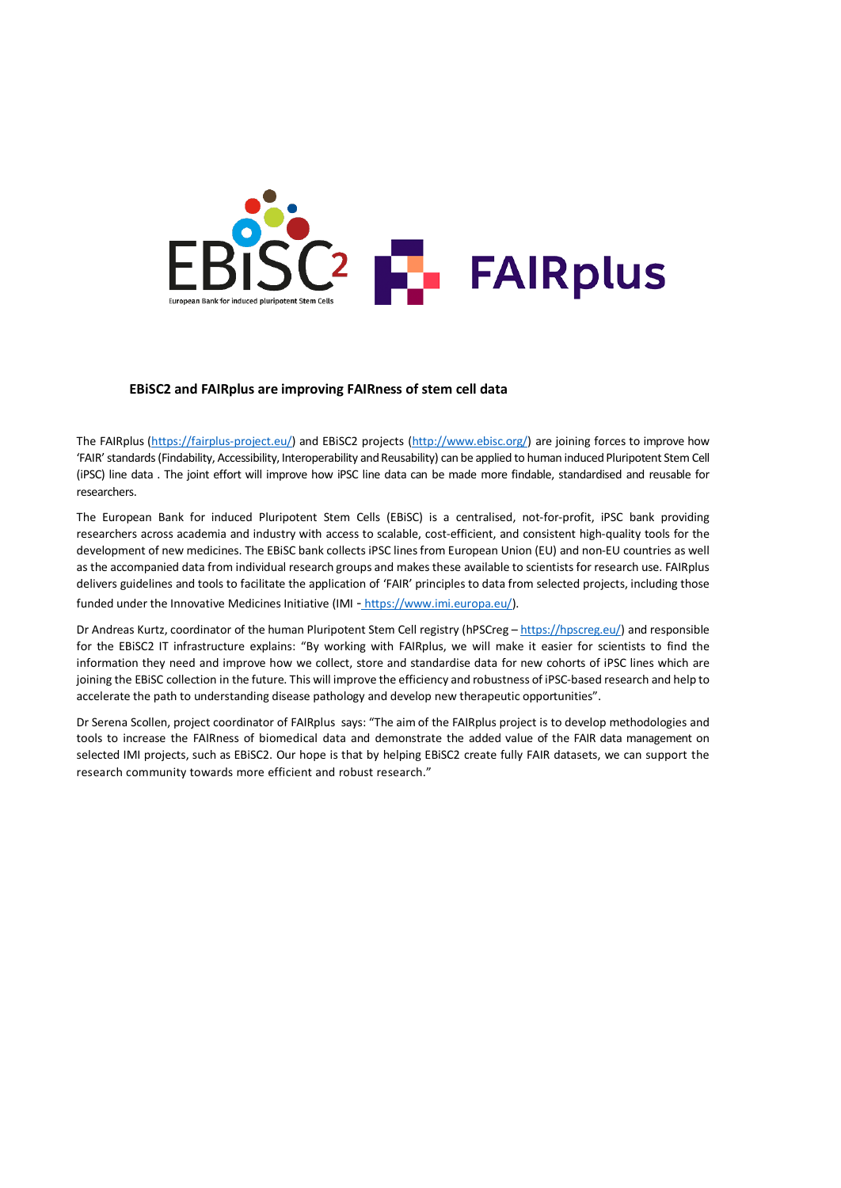

## **EBiSC2 and FAIRplus are improving FAIRness of stem cell data**

The FAIRplus [\(https://fairplus-project.eu/\)](https://fairplus-project.eu/) and EBiSC2 projects [\(http://www.ebisc.org/\)](http://www.ebisc.org/) are joining forces to improve how 'FAIR' standards (Findability, Accessibility, Interoperability and Reusability) can be applied to human induced Pluripotent Stem Cell (iPSC) line data . The joint effort will improve how iPSC line data can be made more findable, standardised and reusable for researchers.

The European Bank for induced Pluripotent Stem Cells (EBiSC) is a centralised, not-for-profit, iPSC bank providing researchers across academia and industry with access to scalable, cost-efficient, and consistent high-quality tools for the development of new medicines. The EBiSC bank collects iPSC linesfrom European Union (EU) and non-EU countries as well as the accompanied data from individual research groups and makes these available to scientists for research use. FAIRplus delivers guidelines and tools to facilitate the application of 'FAIR' principles to data from selected projects, including those funded under the Innovative Medicines Initiative (IMI - https://www.imi.europa.eu/).

Dr Andreas Kurtz, coordinator of the human Pluripotent Stem Cell registry (hPSCreg – [https://hpscreg.eu/\)](https://hpscreg.eu/) and responsible for the EBiSC2 IT infrastructure explains: "By working with FAIRplus, we will make it easier for scientists to find the information they need and improve how we collect, store and standardise data for new cohorts of iPSC lines which are joining the EBiSC collection in the future. This will improve the efficiency and robustness of iPSC-based research and help to accelerate the path to understanding disease pathology and develop new therapeutic opportunities".

Dr Serena Scollen, project coordinator of FAIRplus says: "The aim of the FAIRplus project is to develop methodologies and tools to increase the FAIRness of biomedical data and demonstrate the added value of the FAIR data management on selected IMI projects, such as EBiSC2. Our hope is that by helping EBiSC2 create fully FAIR datasets, we can support the research community towards more efficient and robust research."